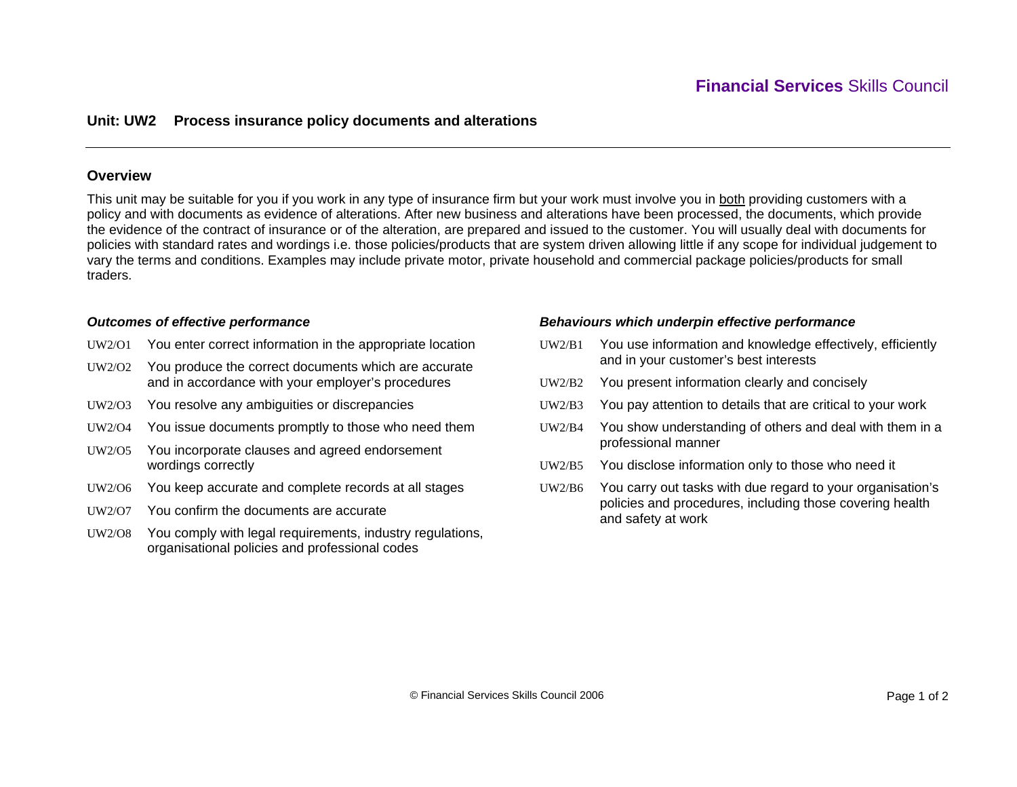# **Unit: UW2 Process insurance policy documents and alterations**

### **Overview**

This unit may be suitable for you if you work in any type of insurance firm but your work must involve you in both providing customers with a policy and with documents as evidence of alterations. After new business and alterations have been processed, the documents, which provide the evidence of the contract of insurance or of the alteration, are prepared and issued to the customer. You will usually deal with documents for policies with standard rates and wordings i.e. those policies/products that are system driven allowing little if any scope for individual judgement to vary the terms and conditions. Examples may include private motor, private household and commercial package policies/products for small traders.

#### *Outcomes of effective performance*

- UW2/O1 You enter correct information in the appropriate location
- UW2/O2 You produce the correct documents which are accurate and in accordance with your employer's procedures
- UW2/O3 You resolve any ambiguities or discrepancies
- UW2/O4 You issue documents promptly to those who need them
- UW2/O5 You incorporate clauses and agreed endorsement wordings correctly
- UW2/O6 You keep accurate and complete records at all stages
- UW2/O7 You confirm the documents are accurate
- UW2/O8 You comply with legal requirements, industry regulations, organisational policies and professional codes

### *Behaviours which underpin effective performance*

- UW2/B1 You use information and knowledge effectively, efficiently and in your customer's best interests
- UW2/B2You present information clearly and concisely
- UW2/B3You pay attention to details that are critical to your work
- UW2/B4 You show understanding of others and deal with them in a professional manner
- UW2/B5You disclose information only to those who need it
- UW2/B6 You carry out tasks with due regard to your organisation's policies and procedures, including those covering health and safety at work